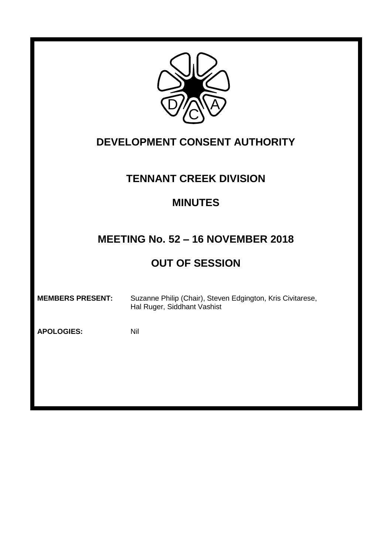

## **DEVELOPMENT CONSENT AUTHORITY**

### **TENNANT CREEK DIVISION**

### **MINUTES**

### **MEETING No. 52 – 16 NOVEMBER 2018**

# **OUT OF SESSION**

**MEMBERS PRESENT:** Suzanne Philip (Chair), Steven Edgington, Kris Civitarese, Hal Ruger, Siddhant Vashist

**APOLOGIES:** Nil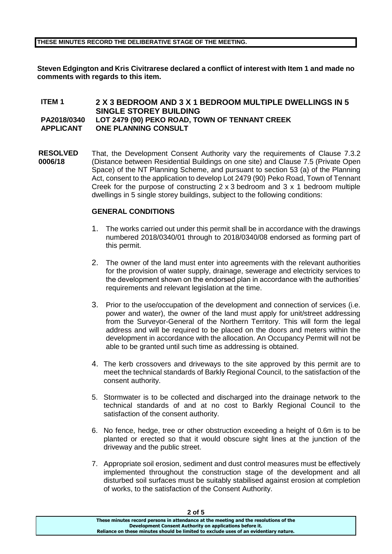#### **THESE MINUTES RECORD THE DELIBERATIVE STAGE OF THE MEETING.**

**Steven Edgington and Kris Civitrarese declared a conflict of interest with Item 1 and made no comments with regards to this item.**

#### **ITEM 1 2 X 3 BEDROOM AND 3 X 1 BEDROOM MULTIPLE DWELLINGS IN 5 SINGLE STOREY BUILDING PA2018/0340 LOT 2479 (90) PEKO ROAD, TOWN OF TENNANT CREEK APPLICANT ONE PLANNING CONSULT**

**RESOLVED 0006/18** That, the Development Consent Authority vary the requirements of Clause 7.3.2 (Distance between Residential Buildings on one site) and Clause 7.5 (Private Open Space) of the NT Planning Scheme, and pursuant to section 53 (a) of the Planning Act, consent to the application to develop Lot 2479 (90) Peko Road, Town of Tennant Creek for the purpose of constructing 2 x 3 bedroom and 3 x 1 bedroom multiple dwellings in 5 single storey buildings, subject to the following conditions:

#### **GENERAL CONDITIONS**

- 1. The works carried out under this permit shall be in accordance with the drawings numbered 2018/0340/01 through to 2018/0340/08 endorsed as forming part of this permit.
- 2. The owner of the land must enter into agreements with the relevant authorities for the provision of water supply, drainage, sewerage and electricity services to the development shown on the endorsed plan in accordance with the authorities' requirements and relevant legislation at the time.
- 3. Prior to the use/occupation of the development and connection of services (i.e. power and water), the owner of the land must apply for unit/street addressing from the Surveyor-General of the Northern Territory. This will form the legal address and will be required to be placed on the doors and meters within the development in accordance with the allocation. An Occupancy Permit will not be able to be granted until such time as addressing is obtained.
- 4. The kerb crossovers and driveways to the site approved by this permit are to meet the technical standards of Barkly Regional Council, to the satisfaction of the consent authority.
- 5. Stormwater is to be collected and discharged into the drainage network to the technical standards of and at no cost to Barkly Regional Council to the satisfaction of the consent authority.
- 6. No fence, hedge, tree or other obstruction exceeding a height of 0.6m is to be planted or erected so that it would obscure sight lines at the junction of the driveway and the public street.
- 7. Appropriate soil erosion, sediment and dust control measures must be effectively implemented throughout the construction stage of the development and all disturbed soil surfaces must be suitably stabilised against erosion at completion of works, to the satisfaction of the Consent Authority.

**2 of 5**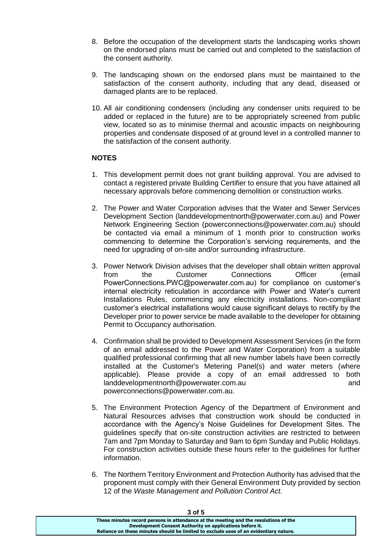- 8. Before the occupation of the development starts the landscaping works shown on the endorsed plans must be carried out and completed to the satisfaction of the consent authority.
- 9. The landscaping shown on the endorsed plans must be maintained to the satisfaction of the consent authority, including that any dead, diseased or damaged plants are to be replaced.
- 10. All air conditioning condensers (including any condenser units required to be added or replaced in the future) are to be appropriately screened from public view, located so as to minimise thermal and acoustic impacts on neighbouring properties and condensate disposed of at ground level in a controlled manner to the satisfaction of the consent authority.

#### **NOTES**

- 1. This development permit does not grant building approval. You are advised to contact a registered private Building Certifier to ensure that you have attained all necessary approvals before commencing demolition or construction works.
- 2. The Power and Water Corporation advises that the Water and Sewer Services Development Section (landdevelopmentnorth@powerwater.com.au) and Power Network Engineering Section (powerconnections@powerwater.com.au) should be contacted via email a minimum of 1 month prior to construction works commencing to determine the Corporation's servicing requirements, and the need for upgrading of on-site and/or surrounding infrastructure.
- 3. Power Network Division advises that the developer shall obtain written approval from the Customer Connections Officer (email PowerConnections.PWC@powerwater.com.au) for compliance on customer's internal electricity reticulation in accordance with Power and Water's current Installations Rules, commencing any electricity installations. Non-compliant customer's electrical installations would cause significant delays to rectify by the Developer prior to power service be made available to the developer for obtaining Permit to Occupancy authorisation.
- 4. Confirmation shall be provided to Development Assessment Services (in the form of an email addressed to the Power and Water Corporation) from a suitable qualified professional confirming that all new number labels have been correctly installed at the Customer's Metering Panel(s) and water meters (where applicable). Please provide a copy of an email addressed to both landdevelopmentnorth@powerwater.com.au and powerconnections@powerwater.com.au.
- 5. The Environment Protection Agency of the Department of Environment and Natural Resources advises that construction work should be conducted in accordance with the Agency's Noise Guidelines for Development Sites. The guidelines specify that on-site construction activities are restricted to between 7am and 7pm Monday to Saturday and 9am to 6pm Sunday and Public Holidays. For construction activities outside these hours refer to the guidelines for further information.
- 6. The Northern Territory Environment and Protection Authority has advised that the proponent must comply with their General Environment Duty provided by section 12 of the *Waste Management and Pollution Control Act.*

| 3 O I D                                                                               |
|---------------------------------------------------------------------------------------|
| These minutes record persons in attendance at the meeting and the resolutions of the  |
| Development Consent Authority on applications before it.                              |
| Reliance on these minutes should be limited to exclude uses of an evidentiary nature. |
|                                                                                       |

**3 of 5**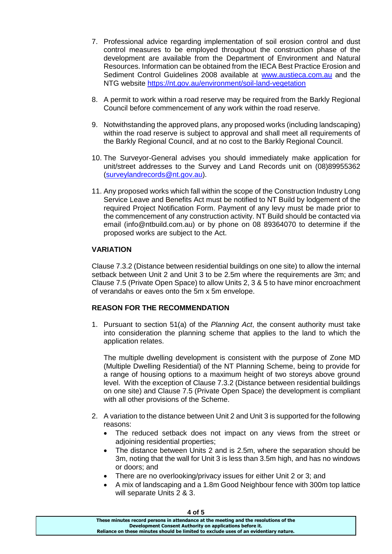- 7. Professional advice regarding implementation of soil erosion control and dust control measures to be employed throughout the construction phase of the development are available from the Department of Environment and Natural Resources. Information can be obtained from the IECA Best Practice Erosion and Sediment Control Guidelines 2008 available at [www.austieca.com.au](http://www.austieca.com.au/) and the NTG website<https://nt.gov.au/environment/soil-land-vegetation>
- 8. A permit to work within a road reserve may be required from the Barkly Regional Council before commencement of any work within the road reserve.
- 9. Notwithstanding the approved plans, any proposed works (including landscaping) within the road reserve is subject to approval and shall meet all requirements of the Barkly Regional Council, and at no cost to the Barkly Regional Council.
- 10. The Surveyor-General advises you should immediately make application for unit/street addresses to the Survey and Land Records unit on (08)89955362 [\(surveylandrecords@nt.gov.au\)](mailto:surveylandrecords@nt.gov.au).
- 11. Any proposed works which fall within the scope of the Construction Industry Long Service Leave and Benefits Act must be notified to NT Build by lodgement of the required Project Notification Form. Payment of any levy must be made prior to the commencement of any construction activity. NT Build should be contacted via email (info@ntbuild.com.au) or by phone on 08 89364070 to determine if the proposed works are subject to the Act.

#### **VARIATION**

Clause 7.3.2 (Distance between residential buildings on one site) to allow the internal setback between Unit 2 and Unit 3 to be 2.5m where the requirements are 3m; and Clause 7.5 (Private Open Space) to allow Units 2, 3 & 5 to have minor encroachment of verandahs or eaves onto the 5m x 5m envelope.

#### **REASON FOR THE RECOMMENDATION**

1. Pursuant to section 51(a) of the *Planning Act*, the consent authority must take into consideration the planning scheme that applies to the land to which the application relates.

The multiple dwelling development is consistent with the purpose of Zone MD (Multiple Dwelling Residential) of the NT Planning Scheme, being to provide for a range of housing options to a maximum height of two storeys above ground level. With the exception of Clause 7.3.2 (Distance between residential buildings on one site) and Clause 7.5 (Private Open Space) the development is compliant with all other provisions of the Scheme.

- 2. A variation to the distance between Unit 2 and Unit 3 is supported for the following reasons:
	- The reduced setback does not impact on any views from the street or adjoining residential properties;
	- The distance between Units 2 and is 2.5m, where the separation should be 3m, noting that the wall for Unit 3 is less than 3.5m high, and has no windows or doors; and
	- There are no overlooking/privacy issues for either Unit 2 or 3; and
	- A mix of landscaping and a 1.8m Good Neighbour fence with 300m top lattice will separate Units 2 & 3.

| 4 O I 5                                                                               |  |
|---------------------------------------------------------------------------------------|--|
| These minutes record persons in attendance at the meeting and the resolutions of the  |  |
| Development Consent Authority on applications before it.                              |  |
| Reliance on these minutes should be limited to exclude uses of an evidentiary nature. |  |
|                                                                                       |  |

**4 of 5**